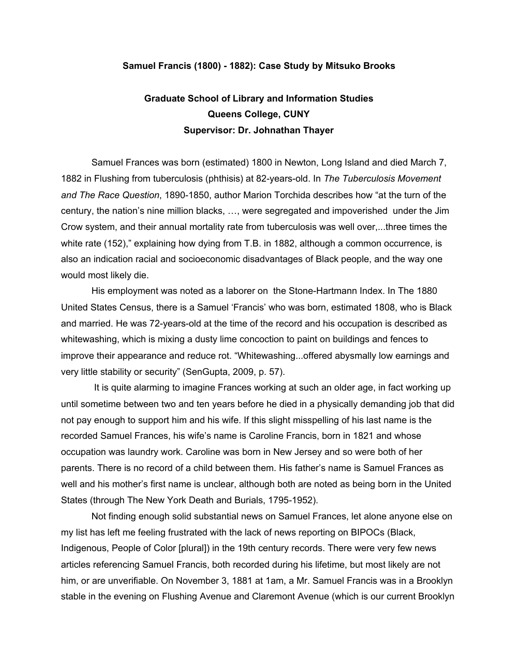## **Samuel Francis (1800) - 1882): Case Study by Mitsuko Brooks**

## **Graduate School of Library and Information Studies Queens College, CUNY Supervisor: Dr. Johnathan Thayer**

Samuel Frances was born (estimated) 1800 in Newton, Long Island and died March 7, 1882 in Flushing from tuberculosis (phthisis) at 82-years-old. In *The Tuberculosis Movement and The Race Question*, 1890-1850, author Marion Torchida describes how "at the turn of the century, the nation's nine million blacks, …, were segregated and impoverished under the Jim Crow system, and their annual mortality rate from tuberculosis was well over,...three times the white rate (152)," explaining how dying from T.B. in 1882, although a common occurrence, is also an indication racial and socioeconomic disadvantages of Black people, and the way one would most likely die.

His employment was noted as a laborer on the Stone-Hartmann Index. In The 1880 United States Census, there is a Samuel 'Francis' who was born, estimated 1808, who is Black and married. He was 72-years-old at the time of the record and his occupation is described as whitewashing, which is mixing a dusty lime concoction to paint on buildings and fences to improve their appearance and reduce rot. "Whitewashing...offered abysmally low earnings and very little stability or security" (SenGupta, 2009, p. 57).

It is quite alarming to imagine Frances working at such an older age, in fact working up until sometime between two and ten years before he died in a physically demanding job that did not pay enough to support him and his wife. If this slight misspelling of his last name is the recorded Samuel Frances, his wife's name is Caroline Francis, born in 1821 and whose occupation was laundry work. Caroline was born in New Jersey and so were both of her parents. There is no record of a child between them. His father's name is Samuel Frances as well and his mother's first name is unclear, although both are noted as being born in the United States (through The New York Death and Burials, 1795-1952).

Not finding enough solid substantial news on Samuel Frances, let alone anyone else on my list has left me feeling frustrated with the lack of news reporting on BIPOCs (Black, Indigenous, People of Color [plural]) in the 19th century records. There were very few news articles referencing Samuel Francis, both recorded during his lifetime, but most likely are not him, or are unverifiable. On November 3, 1881 at 1am, a Mr. Samuel Francis was in a Brooklyn stable in the evening on Flushing Avenue and Claremont Avenue (which is our current Brooklyn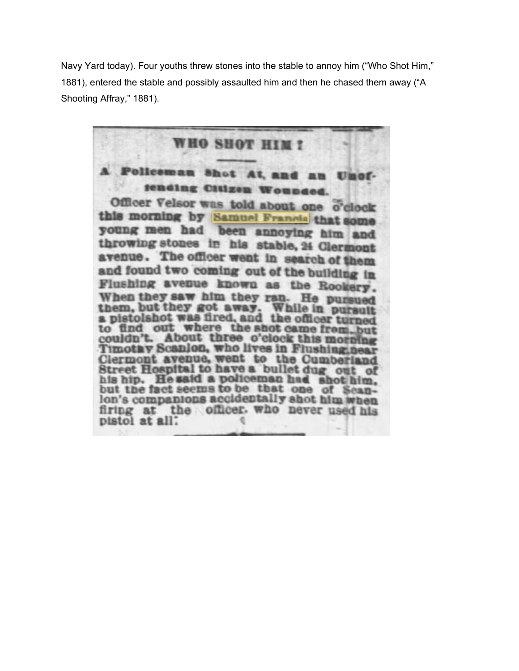Navy Yard today). Four youths threw stones into the stable to annoy him ("Who Shot Him," 1881), entered the stable and possibly assaulted him and then he chased them away ("A Shooting Affray," 1881).

WHO SHOT HIM! **Bhot** Umof g Citizen Officer Velsor was told about one o'clock this morning by Samuel Francis that some young men had been annoying him and throwing stones in his stable, 24 Clermont avenue. The officer went in search of them and found two coming out of the building in Flushing avenue known as the Rookery. When they saw him they ran. He pursued them, but they got away. While in pursuit to find out where the shot came from but couldn't. About three o'clock this morning Timothy Scanlon, who lives in Flushinginear Clermont avenue, went to the Cumberland Street Hospital to have a bullet dug out of his hip. He said a policeman had shot him.<br>but the fact seems to be that one of Scanlon's companions accidentally shot him when firing at the officer. who never used his pistol at all: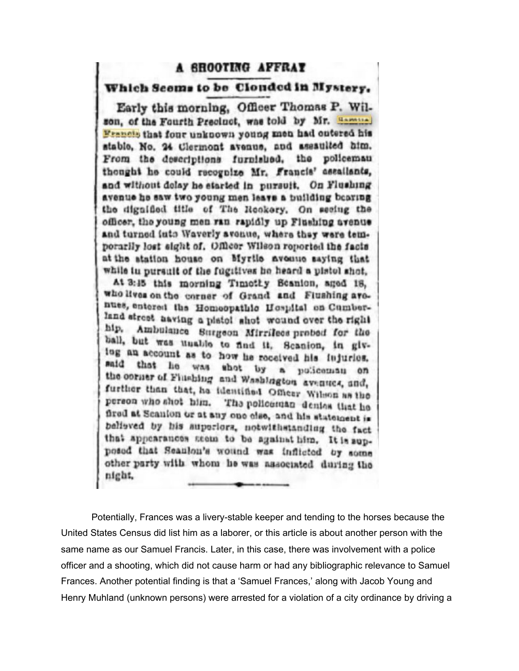## A SHOOTING AFFRAT

## Which Seems to be Clouded in Mystery.

Early this morning, Officer Thomas P. Wilson, of the Fourth Precinct, was told by Mr. Hammed Francis that four unknown young men had outered his stable, No. 24 Clermont avenue, and assaulted him. From the descriptions furnished, the policeman thought he could recognize Mr. Francis' assailants, and without dolay he started in pursuit. On Flushing avenue he saw two young men leave a building bearing the dignified title of The Reckery. On secing the officer, the young men ran rapidly up Flushing avenue and turned into Waverly avenue, where they were temporarlly lost sight of. Officer Wilson reported the facts at the station house on Myrtle avoune saying that while in pursuit of the fugitives he heard a pistol shot.

At 3:45 this morning Timothy Beanion, aged 18, who lives on the corner of Grand and Flushing avenues, entered the Homeopathic Hospital on Cumberland street aaving a pistol shot wound over the right hip. Ambulance Surgeon Mirrilees probed for the ball, but was unable to find it. Scanion, in giving an account as to how he received his injuries. that he was shot by a policeman on said the corner of Finshing and Washington avenues, and, further than that, he identified Officer Wilson as the person who shot him. The policeman denias that he fired at Scanion or at any one clse, and his statement is believed by his auperiors, notwithstanding the fact that appearances seem to be against him. It is supposed that Seanlon's wound was inflicted by some other party with whom he was associated during the night,

Potentially, Frances was a livery-stable keeper and tending to the horses because the United States Census did list him as a laborer, or this article is about another person with the same name as our Samuel Francis. Later, in this case, there was involvement with a police officer and a shooting, which did not cause harm or had any bibliographic relevance to Samuel Frances. Another potential finding is that a 'Samuel Frances,' along with Jacob Young and Henry Muhland (unknown persons) were arrested for a violation of a city ordinance by driving a